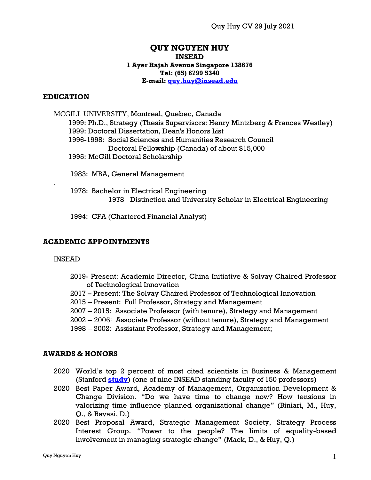## **QUY NGUYEN HUY INSEAD 1 Ayer Rajah Avenue Singapore 138676 Tel: (65) 6799 5340 E-mail: [quy.huy@insead.edu](mailto:quy.huy@insead.edu)**

#### **EDUCATION**

 MCGILL UNIVERSITY, Montreal, Quebec, Canada 1999: Ph.D., Strategy (Thesis Supervisors: Henry Mintzberg & Frances Westley) 1999: Doctoral Dissertation, Dean's Honors List 1996-1998: Social Sciences and Humanities Research Council Doctoral Fellowship (Canada) of about \$15,000 1995: McGill Doctoral Scholarship

- 1983: MBA, General Management
- 1978: Bachelor in Electrical Engineering 1978 Distinction and University Scholar in Electrical Engineering

1994: CFA (Chartered Financial Analyst)

#### **ACADEMIC APPOINTMENTS**

#### INSEAD

.

- 2019- Present: Academic Director, China Initiative & Solvay Chaired Professor of Technological Innovation
- 2017 Present: The Solvay Chaired Professor of Technological Innovation
- 2015 Present: Full Professor, Strategy and Management
- 2007 2015: Associate Professor (with tenure), Strategy and Management
- 2002 2006: Associate Professor (without tenure), Strategy and Management
- 1998 2002: Assistant Professor, Strategy and Management;

#### **AWARDS & HONORS**

- 2020 World's top 2 percent of most cited scientists in Business & Management (Stanford **[study](https://journals.plos.org/plosbiology/article?id=10.1371/journal.pbio.3000384)**) (one of nine INSEAD standing faculty of 150 professors)
- 2020 Best Paper Award, Academy of Management, Organization Development & Change Division. "Do we have time to change now? How tensions in valorizing time influence planned organizational change" (Biniari, M., Huy, Q., & Ravasi, D.)
- 2020 Best Proposal Award, Strategic Management Society, Strategy Process Interest Group. "Power to the people? The limits of equality-based involvement in managing strategic change" (Mack, D., & Huy, Q.)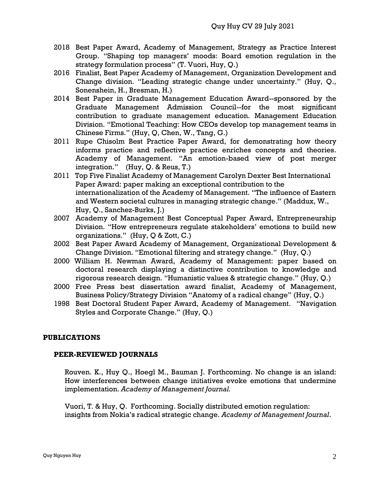- 2018 Best Paper Award, Academy of Management, Strategy as Practice Interest Group. "Shaping top managers' moods: Board emotion regulation in the strategy formulation process" (T. Vuori, Huy, Q.)
- 2016 Finalist, Best Paper Academy of Management, Organization Development and Change division. "Leading strategic change under uncertainty." (Huy, Q., Sonenshein, H., Bresman, H.)
- 2014 Best Paper in Graduate Management Education Award--sponsored by the Graduate Management Admission Council--for the most significant contribution to graduate management education. Management Education Division. "Emotional Teaching: How CEOs develop top management teams in Chinese Firms." (Huy, Q, Chen, W., Tang, G.)
- 2011 Rupe Chisolm Best Practice Paper Award, for demonstrating how theory informs practice and reflective practice enriches concepts and theories. Academy of Management. "An emotion-based view of post merger integration."(Huy, Q. & Reus, T.)
- 2011 Top Five Finalist Academy of Management Carolyn Dexter Best International Paper Award: paper making an exceptional contribution to the internationalization of the Academy of Management. "The influence of Eastern and Western societal cultures in managing strategic change." (Maddux, W., Huy, Q., Sanchez-Burks, J.)
- 2007 Academy of Management Best Conceptual Paper Award, Entrepreneurship Division. "How entrepreneurs regulate stakeholders' emotions to build new organizations." (Huy, Q & Zott, C.)
- 2002 Best Paper Award Academy of Management, Organizational Development & Change Division. "Emotional filtering and strategy change." (Huy, Q.)
- 2000 William H. Newman Award, Academy of Management: paper based on doctoral research displaying a distinctive contribution to knowledge and rigorous research design. "Humanistic values & strategic change." (Huy, Q.)
- 2000 Free Press best dissertation award finalist, Academy of Management, Business Policy/Strategy Division "Anatomy of a radical change" (Huy, Q.)
- 1998 Best Doctoral Student Paper Award, Academy of Management. "Navigation Styles and Corporate Change." (Huy, Q.)

# **PUBLICATIONS**

# **PEER-REVIEWED JOURNALS**

Rouven. K., Huy Q., Hoegl M., Bauman J. Forthcoming. No change is an island: How interferences between change initiatives evoke emotions that undermine implementation. *Academy of Management Journal.* 

Vuori, T. & Huy, Q. Forthcoming. Socially distributed emotion regulation: insights from Nokia's radical strategic change. *Academy of Management Journal*.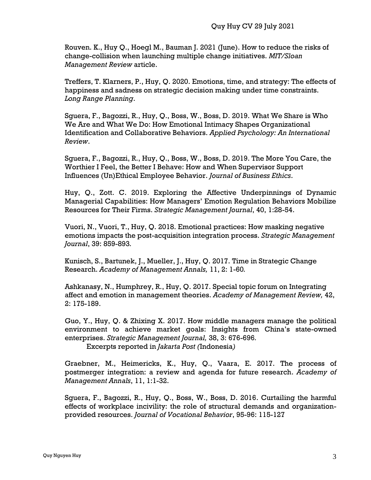Rouven. K., Huy Q., Hoegl M., Bauman J. 2021 (June). How to reduce the risks of change-collision when launching multiple change initiatives. *MIT/Sloan Management Review* article.

Treffers, T. Klarners, P., Huy, Q. 2020. Emotions, time, and strategy: The effects of happiness and sadness on strategic decision making under time constraints. *Long Range Planning*.

Sguera, F., Bagozzi, R., Huy, Q., Boss, W., Boss, D. 2019. What We Share is Who We Are and What We Do: How Emotional Intimacy Shapes Organizational Identification and Collaborative Behaviors. *Applied Psychology: An International Review*.

Sguera, F., Bagozzi, R., Huy, Q., Boss, W., Boss, D. 2019. The More You Care, the Worthier I Feel, the Better I Behave: How and When Supervisor Support Influences (Un)Ethical Employee Behavior. *Journal of Business Ethics*.

Huy, Q., Zott. C. 2019. Exploring the Affective Underpinnings of Dynamic Managerial Capabilities: How Managers' Emotion Regulation Behaviors Mobilize Resources for Their Firms. *Strategic Management Journal*, 40, 1:28-54.

Vuori, N., Vuori, T., Huy, Q. 2018. Emotional practices: How masking negative emotions impacts the post-acquisition integration process. *Strategic Management Journal*, 39: 859-893*.*

Kunisch, S., Bartunek, J., Mueller, J., Huy, Q. 2017. Time in Strategic Change Research. *Academy of Management Annals,* 11, 2: 1-60*.*

Ashkanasy, N., Humphrey, R., Huy, Q. 2017. Special topic forum on Integrating affect and emotion in management theories. *Academy of Management Review,* 42, 2: 175-189.

Guo, Y., Huy, Q. & Zhixing X. 2017. How middle managers manage the political environment to achieve market goals: Insights from China's state-owned enterprises. *Strategic Management Journal,* 38, 3: 676-696*.* Excerpts reported in *Jakarta Post (*Indonesia*)*

Graebner, M., Heimericks, K., Huy, Q., Vaara, E. 2017. The process of postmerger integration: a review and agenda for future research. *Academy of Management Annals*, 11, 1:1-32.

Sguera, F., Bagozzi, R., Huy, Q., Boss, W., Boss, D. 2016. Curtailing the harmful effects of workplace incivility: the role of structural demands and organizationprovided resources. *Journal of Vocational Behavior*, 95-96: 115-127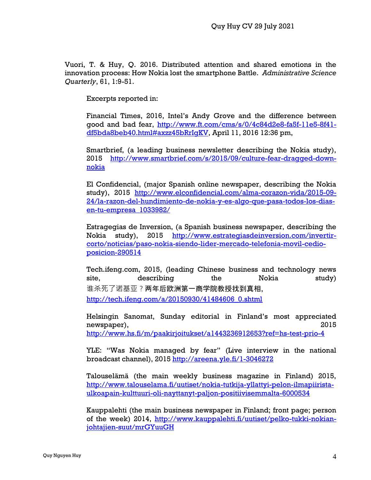Vuori, T. & Huy, Q. 2016. Distributed attention and shared emotions in the innovation process: How Nokia lost the smartphone Battle. *Administrative Science Quarterly*, 61, 1:9-51.

Excerpts reported in:

Financial Times, 2016, Intel's Andy Grove and the difference between good and bad fear, [http://www.ft.com/cms/s/0/4c84d2e8-fa5f-11e5-8f41](http://www.ft.com/cms/s/0/4c84d2e8-fa5f-11e5-8f41-df5bda8beb40.html#axzz45bRrIgKV) [df5bda8beb40.html#axzz45bRrIgKV,](http://www.ft.com/cms/s/0/4c84d2e8-fa5f-11e5-8f41-df5bda8beb40.html#axzz45bRrIgKV) April 11, 2016 12:36 pm,

Smartbrief, (a leading business newsletter describing the Nokia study), 2015 [http://www.smartbrief.com/s/2015/09/culture-fear-dragged-down](http://www.smartbrief.com/s/2015/09/culture-fear-dragged-down-nokia)[nokia](http://www.smartbrief.com/s/2015/09/culture-fear-dragged-down-nokia)

El Confidencial, (major Spanish online newspaper, describing the Nokia study), 2015 [http://www.elconfidencial.com/alma-corazon-vida/2015-09-](http://www.elconfidencial.com/alma-corazon-vida/2015-09-24/la-razon-del-hundimiento-de-nokia-y-es-algo-que-pasa-todos-los-dias-en-tu-empresa_1033982/) [24/la-razon-del-hundimiento-de-nokia-y-es-algo-que-pasa-todos-los-dias](http://www.elconfidencial.com/alma-corazon-vida/2015-09-24/la-razon-del-hundimiento-de-nokia-y-es-algo-que-pasa-todos-los-dias-en-tu-empresa_1033982/)[en-tu-empresa\\_1033982/](http://www.elconfidencial.com/alma-corazon-vida/2015-09-24/la-razon-del-hundimiento-de-nokia-y-es-algo-que-pasa-todos-los-dias-en-tu-empresa_1033982/)

Estragegias de Inversion, (a Spanish business newspaper, describing the Nokia study), 2015 [http://www.estrategiasdeinversion.com/invertir](http://www.estrategiasdeinversion.com/invertir-corto/noticias/paso-nokia-siendo-lider-mercado-telefonia-movil-cedio-posicion-290514)[corto/noticias/paso-nokia-siendo-lider-mercado-telefonia-movil-cedio](http://www.estrategiasdeinversion.com/invertir-corto/noticias/paso-nokia-siendo-lider-mercado-telefonia-movil-cedio-posicion-290514)[posicion-290514](http://www.estrategiasdeinversion.com/invertir-corto/noticias/paso-nokia-siendo-lider-mercado-telefonia-movil-cedio-posicion-290514)

Tech.ifeng.com, 2015, (leading Chinese business and technology news site, describing the Nokia study) 谁杀死了诺基亚?两年后欧洲第一商学院教授找到真相, [http://tech.ifeng.com/a/20150930/41484606\\_0.shtml](http://tech.ifeng.com/a/20150930/41484606_0.shtml)

Helsingin Sanomat, Sunday editorial in Finland's most appreciated newspaper), 2015 <http://www.hs.fi/m/paakirjoitukset/a1443236912653?ref=hs-test-prio-4>

YLE: "Was Nokia managed by fear" (Live interview in the national broadcast channel), 2015<http://areena.yle.fi/1-3046272>

Talouselämä (the main weekly business magazine in Finland) 2015, [http://www.talouselama.fi/uutiset/nokia-tutkija-yllattyi-pelon-ilmapiirista](http://www.talouselama.fi/uutiset/nokia-tutkija-yllattyi-pelon-ilmapiirista-ulkoapain-kulttuuri-oli-nayttanyt-paljon-positiivisemmalta-6000534)[ulkoapain-kulttuuri-oli-nayttanyt-paljon-positiivisemmalta-6000534](http://www.talouselama.fi/uutiset/nokia-tutkija-yllattyi-pelon-ilmapiirista-ulkoapain-kulttuuri-oli-nayttanyt-paljon-positiivisemmalta-6000534)

Kauppalehti (the main business newspaper in Finland; front page; person of the week) 2014, [http://www.kauppalehti.fi/uutiset/pelko-tukki-nokian](http://www.kauppalehti.fi/uutiset/pelko-tukki-nokian-johtajien-suut/mrGYuuGH)[johtajien-suut/mrGYuuGH](http://www.kauppalehti.fi/uutiset/pelko-tukki-nokian-johtajien-suut/mrGYuuGH)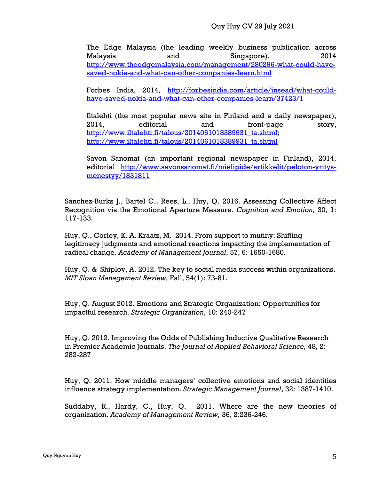The Edge Malaysia (the leading weekly business publication across Malaysia and Singapore), 2014 [http://www.theedgemalaysia.com/management/280296-what-could-have](http://www.theedgemalaysia.com/management/280296-what-could-have-saved-nokia-and-what-can-other-companies-learn.html)[saved-nokia-and-what-can-other-companies-learn.html](http://www.theedgemalaysia.com/management/280296-what-could-have-saved-nokia-and-what-can-other-companies-learn.html)

Forbes India, 2014, [http://forbesindia.com/article/insead/what-could](http://forbesindia.com/article/insead/what-could-have-saved-nokia-and-what-can-other-companies-learn/37423/1)[have-saved-nokia-and-what-can-other-companies-learn/37423/1](http://forbesindia.com/article/insead/what-could-have-saved-nokia-and-what-can-other-companies-learn/37423/1)

Iltalehti (the most popular news site in Finland and a daily newspaper), 2014, editorial and front-page story, [http://www.iltalehti.fi/talous/2014061018389931\\_ta.shtml;](http://www.iltalehti.fi/talous/2014061018389931_ta.shtml) [http://www.iltalehti.fi/talous/2014061018389931\\_ta.shtml](http://www.iltalehti.fi/talous/2014061018389931_ta.shtml)

Savon Sanomat (an important regional newspaper in Finland), 2014, editorial [http://www.savonsanomat.fi/mielipide/artikkelit/peloton-yritys](http://www.savonsanomat.fi/mielipide/artikkelit/peloton-yritys-menestyy/1831811)[menestyy/1831811](http://www.savonsanomat.fi/mielipide/artikkelit/peloton-yritys-menestyy/1831811)

Sanchez-Burks J., Bartel C., Rees, L., Huy, Q. 2016. Assessing Collective Affect Recognition via the Emotional Aperture Measure. *Cognition and Emotion,* 30, 1: 117-133.

Huy, Q., Corley, K. A. Kraatz, M. 2014. From support to mutiny: Shifting legitimacy judgments and emotional reactions impacting the implementation of radical change. *Academy of Management Journal*, 57, 6: 1650-1680.

Huy, Q. & Shiplov, A. 2012. The key to social media success within organizations. *MIT Sloan Management Review,* Fall, 54(1): 73-81.

Huy, Q. August 2012. Emotions and Strategic Organization: Opportunities for impactful research. *Strategic Organization*, 10: 240-247

Huy, Q. 2012. Improving the Odds of Publishing Inductive Qualitative Research in Premier Academic Journals. *The Journal of Applied Behavioral Science,* 48, 2: 282-287

Huy, Q. 2011. How middle managers' collective emotions and social identities influence strategy implementation. *Strategic Management Journal*, 32: 1387-1410.

Suddaby, R., Hardy, C., Huy, Q. 2011. Where are the new theories of organization. *Academy of Management Review,* 36, 2:236-246*.*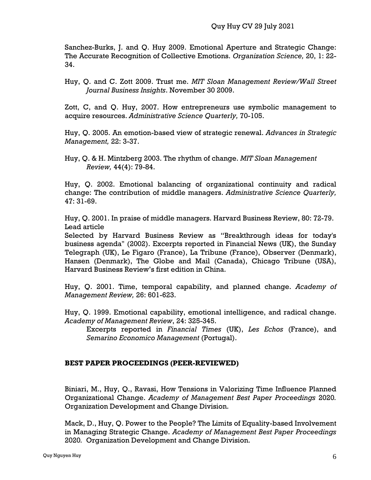Sanchez-Burks, J. and Q. Huy 2009. Emotional Aperture and Strategic Change: The Accurate Recognition of Collective Emotions. *Organization Science,* 20, 1: 22- 34.

Huy, Q. and C. Zott 2009. Trust me. *MIT Sloan Management Review/Wall Street Journal Business Insights*. November 30 2009.

Zott, C, and Q. Huy, 2007. How entrepreneurs use symbolic management to acquire resources. *Administrative Science Quarterly,* 70-105.

Huy, Q. 2005. An emotion-based view of strategic renewal. *Advances in Strategic Management,* 22: 3-37.

Huy, Q. & H. Mintzberg 2003. The rhythm of change. *MIT Sloan Management Review,* 44(4): 79-84.

Huy, Q. 2002. Emotional balancing of organizational continuity and radical change: The contribution of middle managers. *Administrative Science Quarterly,* 47: 31-69.

Huy, Q. 2001. In praise of middle managers. Harvard Business Review, 80: 72-79. Lead article

Selected by Harvard Business Review as "Breakthrough ideas for today's business agenda" (2002). Excerpts reported in Financial News (UK), the Sunday Telegraph (UK), Le Figaro (France), La Tribune (France), Observer (Denmark), Hansen (Denmark), The Globe and Mail (Canada), Chicago Tribune (USA), Harvard Business Review's first edition in China.

Huy, Q. 2001. Time, temporal capability, and planned change. *Academy of Management Review,* 26: 601-623.

Huy, Q. 1999. Emotional capability, emotional intelligence, and radical change. *Academy of Management Review*, 24: 325-345.

Excerpts reported in *Financial Times* (UK), *Les Echos* (France), and *Semarino Economico Management* (Portugal).

# **BEST PAPER PROCEEDINGS (PEER-REVIEWED)**

Biniari, M., Huy, Q., Ravasi, How Tensions in Valorizing Time Influence Planned Organizational Change. *Academy of Management Best Paper Proceedings* 2020*.*  Organization Development and Change Division.

Mack, D., Huy, Q. Power to the People? The Limits of Equality-based Involvement in Managing Strategic Change. *Academy of Management Best Paper Proceedings*  2020*.* Organization Development and Change Division.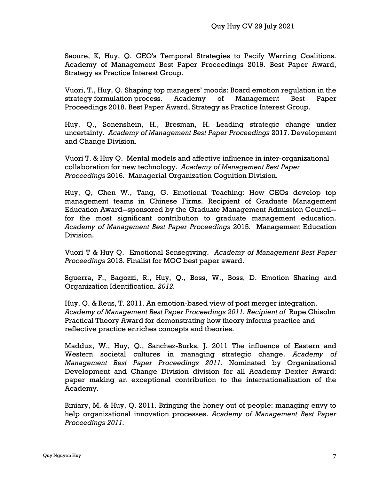Saoure, K, Huy, Q. CEO's Temporal Strategies to Pacify Warring Coalitions. Academy of Management Best Paper Proceedings 2019. Best Paper Award, Strategy as Practice Interest Group.

Vuori, T., Huy, Q. Shaping top managers' moods: Board emotion regulation in the strategy formulation process. Academy of Management Best Paper Proceedings 2018. Best Paper Award, Strategy as Practice Interest Group.

Huy, Q., Sonenshein, H., Bresman, H. Leading strategic change under uncertainty. *Academy of Management Best Paper Proceedings* 2017. Development and Change Division.

Vuori T. & Huy Q. Mental models and affective influence in inter-organizational collaboration for new technology. *Academy of Management Best Paper Proceedings* 2016*.* Managerial Organization Cognition Division.

Huy, Q, Chen W., Tang, G. Emotional Teaching: How CEOs develop top management teams in Chinese Firms. Recipient of Graduate Management Education Award--sponsored by the Graduate Management Admission Council- for the most significant contribution to graduate management education. *Academy of Management Best Paper Proceedings* 2015*.* Management Education Division.

Vuori T & Huy Q. Emotional Sensegiving. *Academy of Management Best Paper Proceedings* 2013*.* Finalist for MOC best paper award.

Sguerra, F., Bagozzi, R., Huy, Q., Boss, W., Boss, D. Emotion Sharing and Organization Identification. *2012.*

Huy, Q. & Reus, T. 2011. An emotion-based view of post merger integration. *Academy of Management Best Paper Proceedings 2011. Recipient of* Rupe Chisolm Practical Theory Award for demonstrating how theory informs practice and reflective practice enriches concepts and theories.

Maddux, W., Huy, Q., Sanchez-Burks, J. 2011 The influence of Eastern and Western societal cultures in managing strategic change. *Academy of Management Best Paper Proceedings 2011.* Nominated by Organizational Development and Change Division division for all Academy Dexter Award: paper making an exceptional contribution to the internationalization of the Academy.

Biniary, M. & Huy, Q. 2011. Bringing the honey out of people: managing envy to help organizational innovation processes. *Academy of Management Best Paper Proceedings 2011.*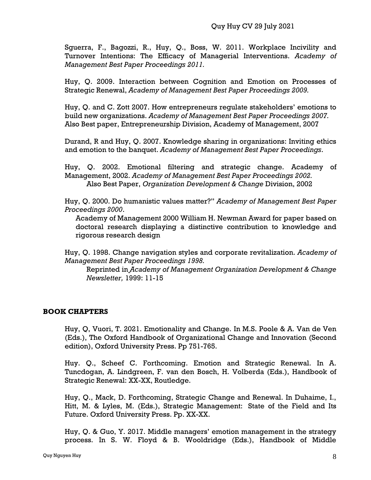Sguerra, F., Bagozzi, R., Huy, Q., Boss, W. 2011. Workplace Incivility and Turnover Intentions: The Efficacy of Managerial Interventions. *Academy of Management Best Paper Proceedings 2011.*

Huy, Q. 2009. Interaction between Cognition and Emotion on Processes of Strategic Renewal, *Academy of Management Best Paper Proceedings 2009.*

Huy, Q. and C. Zott 2007. How entrepreneurs regulate stakeholders' emotions to build new organizations. *Academy of Management Best Paper Proceedings 2007.* Also Best paper, Entrepreneurship Division, Academy of Management, 2007

Durand, R and Huy, Q. 2007. Knowledge sharing in organizations: Inviting ethics and emotion to the banquet. *Academy of Management Best Paper Proceedings*.

Huy, Q. 2002. Emotional filtering and strategic change. Academy of Management, 2002. *Academy of Management Best Paper Proceedings 2002.* Also Best Paper, *Organization Development & Change* Division, 2002

Huy, Q. 2000. Do humanistic values matter?" *Academy of Management Best Paper Proceedings 2000*.

Academy of Management 2000 William H. Newman Award for paper based on doctoral research displaying a distinctive contribution to knowledge and rigorous research design

Huy, Q. 1998. Change navigation styles and corporate revitalization. *Academy of Management Best Paper Proceedings 1998.*

Reprinted in *Academy of Management Organization Development & Change Newsletter,* 1999: 11-15

# **BOOK CHAPTERS**

Huy, Q, Vuori, T. 2021. Emotionality and Change. In M.S. Poole & A. Van de Ven (Eds.), The Oxford Handbook of Organizational Change and Innovation (Second edition), Oxford University Press. Pp 751-765.

Huy. Q., Scheef C. Forthcoming. Emotion and Strategic Renewal. In A. Tuncdogan, A. Lindgreen, F. van den Bosch, H. Volberda (Eds.), Handbook of Strategic Renewal: XX-XX, Routledge.

Huy, Q., Mack, D. Forthcoming, Strategic Change and Renewal. In Duhaime, I., Hitt, M. & Lyles, M. (Eds.), Strategic Management: State of the Field and Its Future. Oxford University Press. Pp. XX-XX.

Huy, Q. & Guo, Y. 2017. Middle managers' emotion management in the strategy process. In S. W. Floyd & B. Wooldridge (Eds.), Handbook of Middle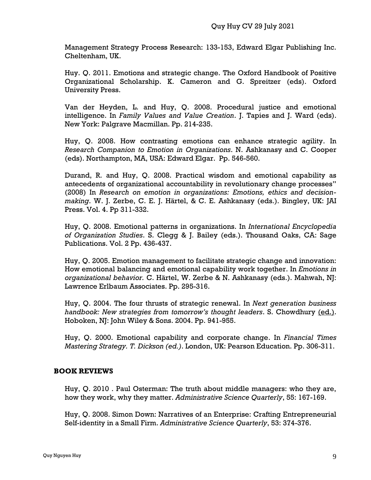Management Strategy Process Research: 133-153, Edward Elgar Publishing Inc. Cheltenham, UK.

Huy. Q. 2011. Emotions and strategic change. The Oxford Handbook of Positive Organizational Scholarship. K. Cameron and G. Spreitzer (eds). Oxford University Press.

Van der Heyden, L. and Huy, Q. 2008. Procedural justice and emotional intelligence. In *Family Values and Value Creation*. J. Tapies and J. Ward (eds). New York: Palgrave Macmillan. Pp. 214-235.

Huy, Q. 2008. How contrasting emotions can enhance strategic agility. In *Research Companion to Emotion in Organizations*. N. Ashkanasy and C. Cooper (eds). Northampton, MA, USA: Edward Elgar. Pp. 546-560.

Durand, R. and Huy, Q. 2008. Practical wisdom and emotional capability as antecedents of organizational accountability in revolutionary change processes" (2008) In *Research on emotion in organizations: Emotions, ethics and decisionmaking*. W. J. Zerbe, C. E. J. Härtel, & C. E. Ashkanasy (eds.). Bingley, UK: JAI Press. Vol. 4. Pp 311-332.

Huy, Q. 2008. Emotional patterns in organizations. In *International Encyclopedia of Organization Studies*. S. Clegg & J. Bailey (eds.). Thousand Oaks, CA: Sage Publications. Vol. 2 Pp. 436-437.

Huy, Q. 2005. Emotion management to facilitate strategic change and innovation: How emotional balancing and emotional capability work together. In *Emotions in organizational behavior.* C. Härtel, W. Zerbe & N. Ashkanasy (eds.). Mahwah, NJ: Lawrence Erlbaum Associates. Pp. 295-316.

Huy, Q. 2004. The four thrusts of strategic renewal. In *Next generation business handbook: New strategies from tomorrow's thought leaders*. S. Chowdhury (ed.). Hoboken, NJ: John Wiley & Sons. 2004. Pp. 941-955.

Huy, Q. 2000. Emotional capability and corporate change. In *Financial Times Mastering Strategy. T. Dickson (ed.)*. London, UK: Pearson Education. Pp. 306-311.

# **BOOK REVIEWS**

Huy, Q. 2010 . Paul Osterman: The truth about middle managers: who they are, how they work, why they matter. *Administrative Science Quarterly*, 55: 167-169.

Huy, Q. 2008. Simon Down: Narratives of an Enterprise: Crafting Entrepreneurial Self-identity in a Small Firm. *Administrative Science Quarterly*, 53: 374-376.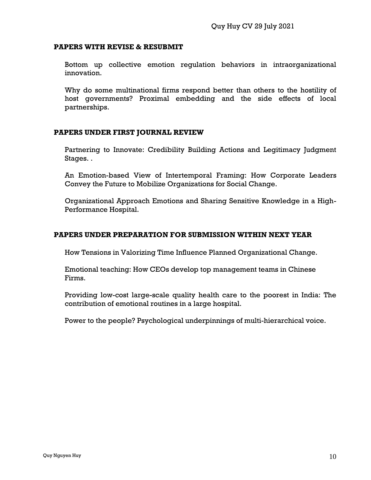## **PAPERS WITH REVISE & RESUBMIT**

Bottom up collective emotion regulation behaviors in intraorganizational innovation.

Why do some multinational firms respond better than others to the hostility of host governments? Proximal embedding and the side effects of local partnerships.

## **PAPERS UNDER FIRST JOURNAL REVIEW**

Partnering to Innovate: Credibility Building Actions and Legitimacy Judgment Stages. .

An Emotion-based View of Intertemporal Framing: How Corporate Leaders Convey the Future to Mobilize Organizations for Social Change.

Organizational Approach Emotions and Sharing Sensitive Knowledge in a High-Performance Hospital.

## **PAPERS UNDER PREPARATION FOR SUBMISSION WITHIN NEXT YEAR**

How Tensions in Valorizing Time Influence Planned Organizational Change.

Emotional teaching: How CEOs develop top management teams in Chinese Firms.

Providing low-cost large-scale quality health care to the poorest in India: The contribution of emotional routines in a large hospital.

Power to the people? Psychological underpinnings of multi-hierarchical voice.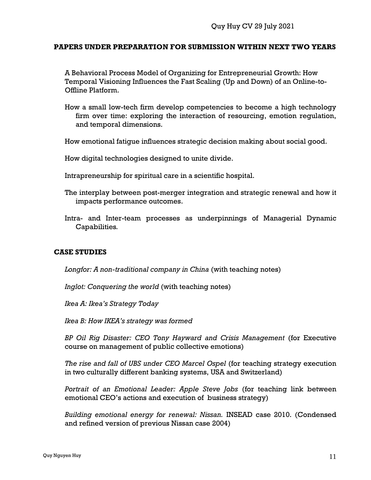#### **PAPERS UNDER PREPARATION FOR SUBMISSION WITHIN NEXT TWO YEARS**

A Behavioral Process Model of Organizing for Entrepreneurial Growth: How Temporal Visioning Influences the Fast Scaling (Up and Down) of an Online-to-Offline Platform.

How a small low-tech firm develop competencies to become a high technology firm over time: exploring the interaction of resourcing, emotion regulation, and temporal dimensions.

How emotional fatigue influences strategic decision making about social good.

How digital technologies designed to unite divide.

Intrapreneurship for spiritual care in a scientific hospital.

- The interplay between post-merger integration and strategic renewal and how it impacts performance outcomes.
- Intra- and Inter-team processes as underpinnings of Managerial Dynamic Capabilities*.*

#### **CASE STUDIES**

Longfor: A non-traditional company in China (with teaching notes)

*Inglot: Conquering the world* (with teaching notes)

*Ikea A: Ikea's Strategy Today*

*Ikea B: How IKEA's strategy was formed*

*BP Oil Rig Disaster: CEO Tony Hayward and Crisis Management* (for Executive course on management of public collective emotions)

*The rise and fall of UBS under CEO Marcel Ospel* (for teaching strategy execution in two culturally different banking systems, USA and Switzerland)

*Portrait of an Emotional Leader: Apple Steve Jobs* (for teaching link between emotional CEO's actions and execution of business strategy)

*Building emotional energy for renewal: Nissan.* INSEAD case 2010. (Condensed and refined version of previous Nissan case 2004)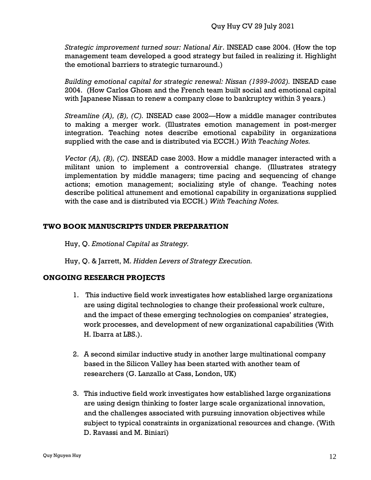*Strategic improvement turned sour: National Air*. INSEAD case 2004. (How the top management team developed a good strategy but failed in realizing it. Highlight the emotional barriers to strategic turnaround.)

*Building emotional capital for strategic renewal: Nissan (1999-2002).* INSEAD case 2004. (How Carlos Ghosn and the French team built social and emotional capital with Japanese Nissan to renew a company close to bankruptcy within 3 years.)

*Streamline (A), (B), (C).* INSEAD case 2002—How a middle manager contributes to making a merger work. (Illustrates emotion management in post-merger integration. Teaching notes describe emotional capability in organizations supplied with the case and is distributed via ECCH.) *With Teaching Notes.*

*Vector (A), (B), (C).* INSEAD case 2003. How a middle manager interacted with a militant union to implement a controversial change. (Illustrates strategy implementation by middle managers; time pacing and sequencing of change actions; emotion management; socializing style of change. Teaching notes describe political attunement and emotional capability in organizations supplied with the case and is distributed via ECCH.) *With Teaching Notes.*

# **TWO BOOK MANUSCRIPTS UNDER PREPARATION**

Huy, Q. *Emotional Capital as Strategy.*

Huy, Q. & Jarrett, M. *Hidden Levers of Strategy Execution.* 

# **ONGOING RESEARCH PROJECTS**

- 1. This inductive field work investigates how established large organizations are using digital technologies to change their professional work culture, and the impact of these emerging technologies on companies' strategies, work processes, and development of new organizational capabilities (With H. Ibarra at LBS.).
- 2. A second similar inductive study in another large multinational company based in the Silicon Valley has been started with another team of researchers (G. Lanzallo at Cass, London, UK)
- 3. This inductive field work investigates how established large organizations are using design thinking to foster large scale organizational innovation, and the challenges associated with pursuing innovation objectives while subject to typical constraints in organizational resources and change. (With D. Ravassi and M. Biniari)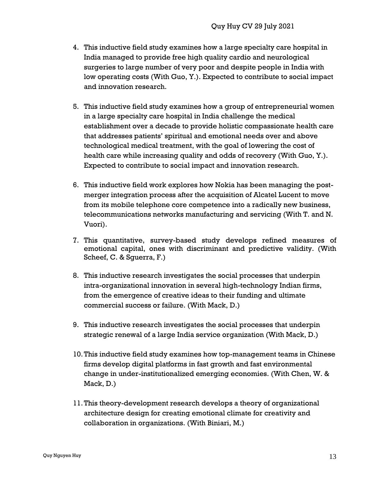- 4. This inductive field study examines how a large specialty care hospital in India managed to provide free high quality cardio and neurological surgeries to large number of very poor and despite people in India with low operating costs (With Guo, Y.). Expected to contribute to social impact and innovation research.
- 5. This inductive field study examines how a group of entrepreneurial women in a large specialty care hospital in India challenge the medical establishment over a decade to provide holistic compassionate health care that addresses patients' spiritual and emotional needs over and above technological medical treatment, with the goal of lowering the cost of health care while increasing quality and odds of recovery (With Guo, Y.). Expected to contribute to social impact and innovation research.
- 6. This inductive field work explores how Nokia has been managing the postmerger integration process after the acquisition of Alcatel Lucent to move from its mobile telephone core competence into a radically new business, telecommunications networks manufacturing and servicing (With T. and N. Vuori).
- 7. This quantitative, survey-based study develops refined measures of emotional capital, ones with discriminant and predictive validity. (With Scheef, C. & Sguerra, F.)
- 8. This inductive research investigates the social processes that underpin intra-organizational innovation in several high-technology Indian firms, from the emergence of creative ideas to their funding and ultimate commercial success or failure. (With Mack, D.)
- 9. This inductive research investigates the social processes that underpin strategic renewal of a large India service organization (With Mack, D.)
- 10.This inductive field study examines how top-management teams in Chinese firms develop digital platforms in fast growth and fast environmental change in under-institutionalized emerging economies. (With Chen, W. & Mack, D.)
- 11.This theory-development research develops a theory of organizational architecture design for creating emotional climate for creativity and collaboration in organizations. (With Biniari, M.)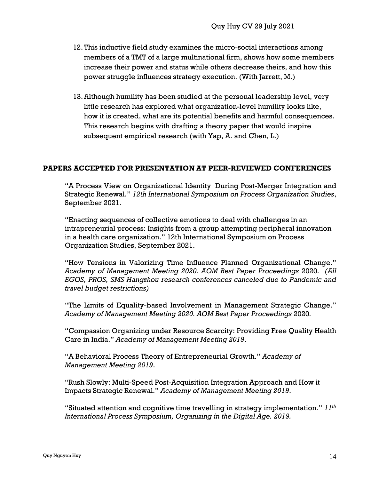- 12.This inductive field study examines the micro-social interactions among members of a TMT of a large multinational firm, shows how some members increase their power and status while others decrease theirs, and how this power struggle influences strategy execution. (With Jarrett, M.)
- 13.Although humility has been studied at the personal leadership level, very little research has explored what organization-level humility looks like, how it is created, what are its potential benefits and harmful consequences. This research begins with drafting a theory paper that would inspire subsequent empirical research (with Yap, A. and Chen, L.)

## **PAPERS ACCEPTED FOR PRESENTATION AT PEER-REVIEWED CONFERENCES**

"A Process View on Organizational Identity During Post-Merger Integration and Strategic Renewal." *12th International Symposium on Process Organization Studies*, September 2021.

"Enacting sequences of collective emotions to deal with challenges in an intrapreneurial process: Insights from a group attempting peripheral innovation in a health care organization." 12th International Symposium on Process Organization Studies, September 2021.

"How Tensions in Valorizing Time Influence Planned Organizational Change." *Academy of Management Meeting 2020. AOM Best Paper Proceedings* 2020*. (All EGOS, PROS, SMS Hangzhou research conferences canceled due to Pandemic and travel budget restrictions)*

"The Limits of Equality-based Involvement in Management Strategic Change." *Academy of Management Meeting 2020. AOM Best Paper Proceedings* 2020*.* 

"Compassion Organizing under Resource Scarcity: Providing Free Quality Health Care in India." *Academy of Management Meeting 2019*.

"A Behavioral Process Theory of Entrepreneurial Growth." *Academy of Management Meeting 2019*.

"Rush Slowly: Multi-Speed Post-Acquisition Integration Approach and How it Impacts Strategic Renewal." *Academy of Management Meeting 2019*.

"Situated attention and cognitive time travelling in strategy implementation." *11th International Process Symposium, Organizing in the Digital Age. 2019.*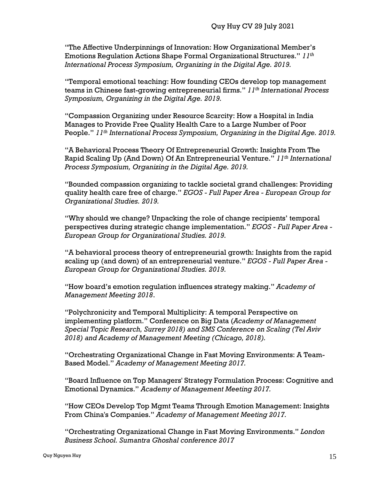"The Affective Underpinnings of Innovation: How Organizational Member's Emotions Regulation Actions Shape Formal Organizational Structures." *11th International Process Symposium, Organizing in the Digital Age. 2019.*

"Temporal emotional teaching: How founding CEOs develop top management teams in Chinese fast-growing entrepreneurial firms." *11th International Process Symposium, Organizing in the Digital Age. 2019.*

"Compassion Organizing under Resource Scarcity: How a Hospital in India Manages to Provide Free Quality Health Care to a Large Number of Poor People." *11th International Process Symposium, Organizing in the Digital Age. 2019.*

"A Behavioral Process Theory Of Entrepreneurial Growth: Insights From The Rapid Scaling Up (And Down) Of An Entrepreneurial Venture." *11th International Process Symposium, Organizing in the Digital Age. 2019.*

"Bounded compassion organizing to tackle societal grand challenges: Providing quality health care free of charge." *EGOS - Full Paper Area - European Group for Organizational Studies. 2019.*

"Why should we change? Unpacking the role of change recipients' temporal perspectives during strategic change implementation." *EGOS - Full Paper Area - European Group for Organizational Studies. 2019.*

"A behavioral process theory of entrepreneurial growth: Insights from the rapid scaling up (and down) of an entrepreneurial venture." *EGOS - Full Paper Area - European Group for Organizational Studies. 2019.*

"How board's emotion regulation influences strategy making." *Academy of Management Meeting 2018*.

"Polychronicity and Temporal Multiplicity: A temporal Perspective on implementing platform." Conference on Big Data (*Academy of Management Special Topic Research, Surrey 2018) and SMS Conference on Scaling (Tel Aviv 2018) and Academy of Management Meeting (Chicago, 2018).*

"Orchestrating Organizational Change in Fast Moving Environments: A Team-Based Model." *Academy of Management Meeting 2017.*

"Board Influence on Top Managers' Strategy Formulation Process: Cognitive and Emotional Dynamics." *Academy of Management Meeting 2017.*

"How CEOs Develop Top Mgmt Teams Through Emotion Management: Insights From China's Companies." *Academy of Management Meeting 2017.*

"Orchestrating Organizational Change in Fast Moving Environments." *London Business School. Sumantra Ghoshal conference 2017*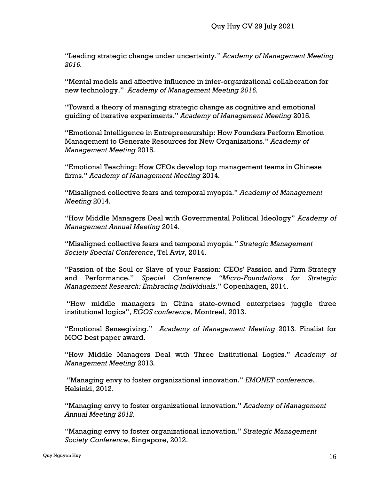"Leading strategic change under uncertainty." *Academy of Management Meeting 2016.* 

"Mental models and affective influence in inter-organizational collaboration for new technology." *Academy of Management Meeting 2016.*

"Toward a theory of managing strategic change as cognitive and emotional guiding of iterative experiments." *Academy of Management Meeting* 2015*.*

"Emotional Intelligence in Entrepreneurship: How Founders Perform Emotion Management to Generate Resources for New Organizations." *Academy of Management Meeting* 2015*.*

"Emotional Teaching: How CEOs develop top management teams in Chinese firms." *Academy of Management Meeting* 2014*.*

"Misaligned collective fears and temporal myopia." *Academy of Management Meeting* 2014*.*

"How Middle Managers Deal with Governmental Political Ideology" *Academy of Management Annual Meeting* 2014*.*

"Misaligned collective fears and temporal myopia*." Strategic Management Society Special Conference*, Tel Aviv, 2014.

"Passion of the Soul or Slave of your Passion: CEOs' Passion and Firm Strategy and Performance." *Special Conference "Micro-Foundations for Strategic Management Research: Embracing Individuals*." Copenhagen, 2014.

"How middle managers in China state-owned enterprises juggle three institutional logics", *EGOS conference*, Montreal, 2013.

"Emotional Sensegiving." *Academy of Management Meeting* 2013*.* Finalist for MOC best paper award.

"How Middle Managers Deal with Three Institutional Logics." *Academy of Management Meeting* 2013*.*

"Managing envy to foster organizational innovation." *EMONET conference*, Helsinki, 2012.

"Managing envy to foster organizational innovation." *Academy of Management Annual Meeting 2012.*

"Managing envy to foster organizational innovation." *Strategic Management Society Conference*, Singapore, 2012.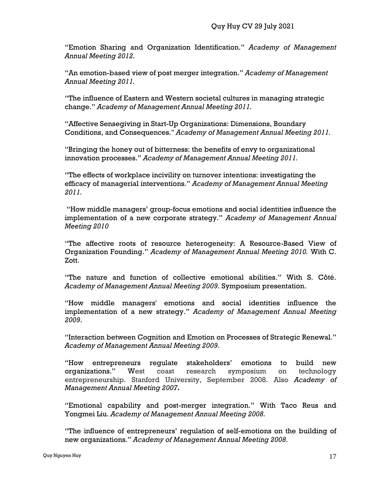"Emotion Sharing and Organization Identification." *Academy of Management Annual Meeting 2012.*

"An emotion-based view of post merger integration." *Academy of Management Annual Meeting 2011.* 

"The influence of Eastern and Western societal cultures in managing strategic change." *Academy of Management Annual Meeting 2011.* 

"Affective Sensegiving in Start-Up Organizations: Dimensions, Boundary Conditions, and Consequences." *Academy of Management Annual Meeting 2011.* 

"Bringing the honey out of bitterness: the benefits of envy to organizational innovation processes." *Academy of Management Annual Meeting 2011.* 

"The effects of workplace incivility on turnover intentions: investigating the efficacy of managerial interventions." *Academy of Management Annual Meeting 2011.* 

"How middle managers' group-focus emotions and social identities influence the implementation of a new corporate strategy." *Academy of Management Annual Meeting 2010*

"The affective roots of resource heterogeneity: A Resource-Based View of Organization Founding." *Academy of Management Annual Meeting 2010.* With C. Zott.

"The nature and function of collective emotional abilities." With S. Côté. *Academy of Management Annual Meeting 2009*. Symposium presentation.

"How middle managers' emotions and social identities influence the implementation of a new strategy." *Academy of Management Annual Meeting 2009*.

"Interaction between Cognition and Emotion on Processes of Strategic Renewal." *Academy of Management Annual Meeting 2009*.

"How entrepreneurs regulate stakeholders' emotions to build new organizations." West coast research symposium on technology entrepreneurship. Stanford University, September 2008. Also *Academy of Management Annual Meeting 2007.*

"Emotional capability and post-merger integration." With Taco Reus and Yongmei Liu. *Academy of Management Annual Meeting 2008.*

"The influence of entrepreneurs' regulation of self-emotions on the building of new organizations." *Academy of Management Annual Meeting 2008.*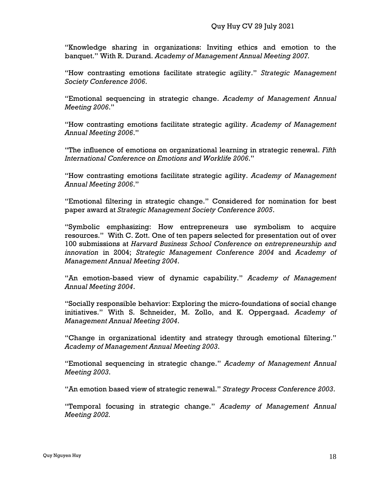"Knowledge sharing in organizations: Inviting ethics and emotion to the banquet." With R. Durand. *Academy of Management Annual Meeting 2007.*

"How contrasting emotions facilitate strategic agility." *Strategic Management Society Conference 2006*.

"Emotional sequencing in strategic change. *Academy of Management Annual Meeting 2006*."

"How contrasting emotions facilitate strategic agility. *Academy of Management Annual Meeting 2006*."

"The influence of emotions on organizational learning in strategic renewal. *Fifth International Conference on Emotions and Worklife 2006*."

"How contrasting emotions facilitate strategic agility. *Academy of Management Annual Meeting 2006*."

"Emotional filtering in strategic change." Considered for nomination for best paper award at *Strategic Management Society Conference 2005*.

"Symbolic emphasizing: How entrepreneurs use symbolism to acquire resources." With C. Zott. One of ten papers selected for presentation out of over 100 submissions at *Harvard Business School Conference on entrepreneurship and innovation* in 2004; *Strategic Management Conference 2004* and *Academy of Management Annual Meeting 2004*.

"An emotion-based view of dynamic capability." *Academy of Management Annual Meeting 2004*.

"Socially responsible behavior: Exploring the micro-foundations of social change initiatives." With S. Schneider, M. Zollo, and K. Oppergaad. *Academy of Management Annual Meeting 2004*.

"Change in organizational identity and strategy through emotional filtering." *Academy of Management Annual Meeting 2003*.

"Emotional sequencing in strategic change." *Academy of Management Annual Meeting 2003*.

"An emotion based view of strategic renewal." *Strategy Process Conference 2003*.

"Temporal focusing in strategic change." *Academy of Management Annual Meeting 2002.*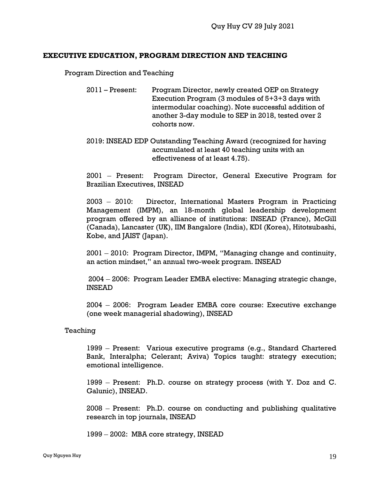## **EXECUTIVE EDUCATION, PROGRAM DIRECTION AND TEACHING**

Program Direction and Teaching

- 2011 Present: Program Director, newly created OEP on Strategy Execution Program (3 modules of 5+3+3 days with intermodular coaching). Note successful addition of another 3-day module to SEP in 2018, tested over 2 cohorts now.
- 2019: INSEAD EDP Outstanding Teaching Award (recognized for having accumulated at least 40 teaching units with an effectiveness of at least 4.75).

2001 – Present: Program Director, General Executive Program for Brazilian Executives, INSEAD

2003 – 2010: Director, International Masters Program in Practicing Management (IMPM), an 18-month global leadership development program offered by an alliance of institutions: INSEAD (France), McGill (Canada), Lancaster (UK), IIM Bangalore (India), KDI (Korea), Hitotsubashi, Kobe, and JAIST (Japan).

2001 – 2010: Program Director, IMPM, "Managing change and continuity, an action mindset," an annual two-week program. INSEAD

2004 – 2006: Program Leader EMBA elective: Managing strategic change, INSEAD

2004 – 2006: Program Leader EMBA core course: Executive exchange (one week managerial shadowing), INSEAD

Teaching

1999 – Present: Various executive programs (e.g., Standard Chartered Bank, Interalpha; Celerant; Aviva) Topics taught: strategy execution; emotional intelligence.

1999 – Present: Ph.D. course on strategy process (with Y. Doz and C. Galunic), INSEAD.

2008 – Present: Ph.D. course on conducting and publishing qualitative research in top journals, INSEAD

1999 – 2002: MBA core strategy, INSEAD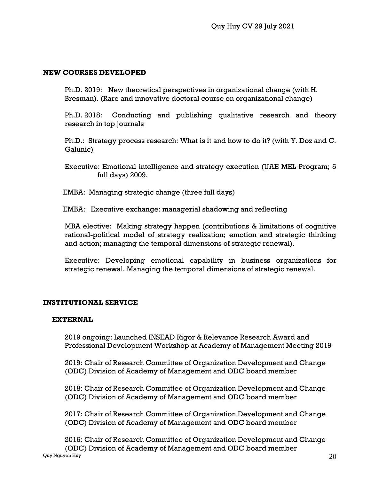## **NEW COURSES DEVELOPED**

Ph.D. 2019: New theoretical perspectives in organizational change (with H. Bresman). (Rare and innovative doctoral course on organizational change)

Ph.D. 2018: Conducting and publishing qualitative research and theory research in top journals

Ph.D.: Strategy process research: What is it and how to do it? (with Y. Doz and C. Galunic)

 Executive: Emotional intelligence and strategy execution (UAE MEL Program; 5 full days) 2009.

EMBA: Managing strategic change (three full days)

EMBA: Executive exchange: managerial shadowing and reflecting

 MBA elective: Making strategy happen (contributions & limitations of cognitive rational-political model of strategy realization; emotion and strategic thinking and action; managing the temporal dimensions of strategic renewal).

Executive: Developing emotional capability in business organizations for strategic renewal. Managing the temporal dimensions of strategic renewal.

# **INSTITUTIONAL SERVICE**

## **EXTERNAL**

2019 ongoing: Launched INSEAD Rigor & Relevance Research Award and Professional Development Workshop at Academy of Management Meeting 2019

2019: Chair of Research Committee of Organization Development and Change (ODC) Division of Academy of Management and ODC board member

2018: Chair of Research Committee of Organization Development and Change (ODC) Division of Academy of Management and ODC board member

2017: Chair of Research Committee of Organization Development and Change (ODC) Division of Academy of Management and ODC board member

Quy Nguyen Huy $\,\,20$ 2016: Chair of Research Committee of Organization Development and Change (ODC) Division of Academy of Management and ODC board member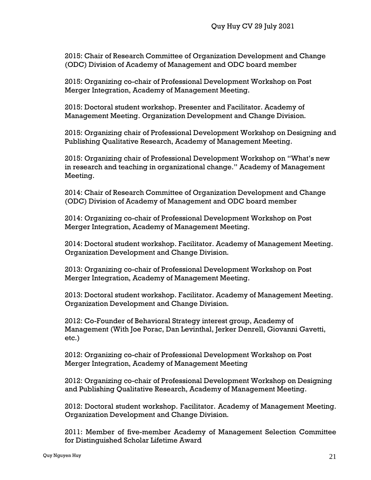2015: Chair of Research Committee of Organization Development and Change (ODC) Division of Academy of Management and ODC board member

2015: Organizing co-chair of Professional Development Workshop on Post Merger Integration, Academy of Management Meeting.

2015: Doctoral student workshop. Presenter and Facilitator. Academy of Management Meeting. Organization Development and Change Division.

2015: Organizing chair of Professional Development Workshop on Designing and Publishing Qualitative Research, Academy of Management Meeting.

2015: Organizing chair of Professional Development Workshop on "What's new in research and teaching in organizational change." Academy of Management Meeting.

2014: Chair of Research Committee of Organization Development and Change (ODC) Division of Academy of Management and ODC board member

2014: Organizing co-chair of Professional Development Workshop on Post Merger Integration, Academy of Management Meeting.

2014: Doctoral student workshop. Facilitator. Academy of Management Meeting. Organization Development and Change Division.

2013: Organizing co-chair of Professional Development Workshop on Post Merger Integration, Academy of Management Meeting.

2013: Doctoral student workshop. Facilitator. Academy of Management Meeting. Organization Development and Change Division.

2012: Co-Founder of Behavioral Strategy interest group, Academy of Management (With Joe Porac, Dan Levinthal, Jerker Denrell, Giovanni Gavetti, etc.)

2012: Organizing co-chair of Professional Development Workshop on Post Merger Integration, Academy of Management Meeting

2012: Organizing co-chair of Professional Development Workshop on Designing and Publishing Qualitative Research, Academy of Management Meeting.

2012: Doctoral student workshop. Facilitator. Academy of Management Meeting. Organization Development and Change Division.

2011: Member of five-member Academy of Management Selection Committee for Distinguished Scholar Lifetime Award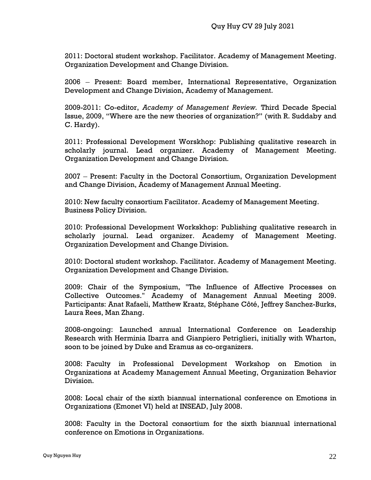2011: Doctoral student workshop. Facilitator. Academy of Management Meeting. Organization Development and Change Division.

2006 – Present: Board member, International Representative, Organization Development and Change Division, Academy of Management.

2009-2011: Co-editor, *Academy of Management Review.* Third Decade Special Issue, 2009, "Where are the new theories of organization?" (with R. Suddaby and C. Hardy).

2011: Professional Development Worskhop: Publishing qualitative research in scholarly journal. Lead organizer. Academy of Management Meeting. Organization Development and Change Division.

2007 – Present: Faculty in the Doctoral Consortium, Organization Development and Change Division, Academy of Management Annual Meeting.

2010: New faculty consortium Facilitator. Academy of Management Meeting. Business Policy Division.

2010: Professional Development Workskhop: Publishing qualitative research in scholarly journal. Lead organizer. Academy of Management Meeting. Organization Development and Change Division.

2010: Doctoral student workshop. Facilitator. Academy of Management Meeting. Organization Development and Change Division.

2009: Chair of the Symposium, "The Influence of Affective Processes on Collective Outcomes." Academy of Management Annual Meeting 2009. Participants: Anat Rafaeli, Matthew Kraatz, Stéphane Côté, Jeffrey Sanchez-Burks, Laura Rees, Man Zhang.

2008-ongoing: Launched annual International Conference on Leadership Research with Herminia Ibarra and Gianpiero Petriglieri, initially with Wharton, soon to be joined by Duke and Eramus as co-organizers.

2008: Faculty in Professional Development Workshop on Emotion in Organizations at Academy Management Annual Meeting, Organization Behavior Division.

2008: Local chair of the sixth biannual international conference on Emotions in Organizations (Emonet VI) held at INSEAD, July 2008.

2008: Faculty in the Doctoral consortium for the sixth biannual international conference on Emotions in Organizations.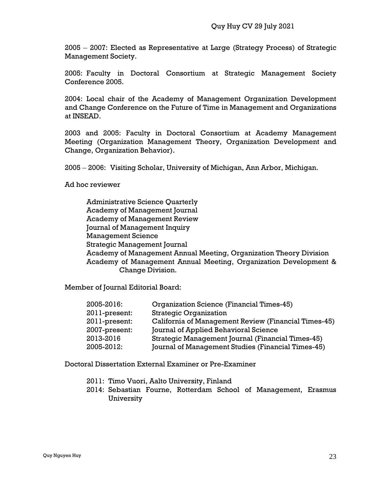2005 – 2007: Elected as Representative at Large (Strategy Process) of Strategic Management Society.

2005: Faculty in Doctoral Consortium at Strategic Management Society Conference 2005.

2004: Local chair of the Academy of Management Organization Development and Change Conference on the Future of Time in Management and Organizations at INSEAD.

2003 and 2005: Faculty in Doctoral Consortium at Academy Management Meeting (Organization Management Theory, Organization Development and Change, Organization Behavior).

2005 – 2006: Visiting Scholar, University of Michigan, Ann Arbor, Michigan.

Ad hoc reviewer

Administrative Science Quarterly Academy of Management Journal Academy of Management Review Journal of Management Inquiry Management Science Strategic Management Journal Academy of Management Annual Meeting, Organization Theory Division Academy of Management Annual Meeting, Organization Development & Change Division.

Member of Journal Editorial Board:

| 2005-2016:    | Organization Science (Financial Times-45)            |
|---------------|------------------------------------------------------|
| 2011-present: | <b>Strategic Organization</b>                        |
| 2011-present: | California of Management Review (Financial Times-45) |
| 2007-present: | Journal of Applied Behavioral Science                |
| 2013-2016     | Strategic Management Journal (Financial Times-45)    |
| 2005-2012:    | Journal of Management Studies (Financial Times-45)   |

Doctoral Dissertation External Examiner or Pre-Examiner

- 2011: Timo Vuori, Aalto University, Finland
- 2014: Sebastian Fourne, Rotterdam School of Management, Erasmus University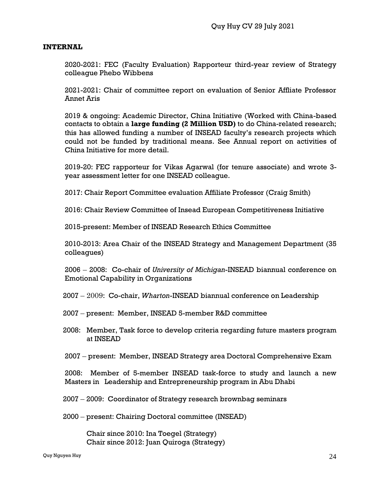#### **INTERNAL**

2020-2021: FEC (Faculty Evaluation) Rapporteur third-year review of Strategy colleague Phebo Wibbens

2021-2021: Chair of committee report on evaluation of Senior Affliate Professor Annet Aris

2019 & ongoing: Academic Director, China Initiative (Worked with China-based contacts to obtain a **large funding (2 Million USD)** to do China-related research; this has allowed funding a number of INSEAD faculty's research projects which could not be funded by traditional means. See Annual report on activities of China Initiative for more detail.

2019-20: FEC rapporteur for Vikas Agarwal (for tenure associate) and wrote 3 year assessment letter for one INSEAD colleague.

2017: Chair Report Committee evaluation Affiliate Professor (Craig Smith)

2016: Chair Review Committee of Insead European Competitiveness Initiative

2015-present: Member of INSEAD Research Ethics Committee

2010-2013: Area Chair of the INSEAD Strategy and Management Department (35 colleagues)

2006 – 2008: Co-chair of *University of Michigan*-INSEAD biannual conference on Emotional Capability in Organizations

2007 – 2009: Co-chair, *Wharton*-INSEAD biannual conference on Leadership

2007 – present: Member, INSEAD 5-member R&D committee

 2008: Member, Task force to develop criteria regarding future masters program at INSEAD

2007 – present: Member, INSEAD Strategy area Doctoral Comprehensive Exam

2008: Member of 5-member INSEAD task-force to study and launch a new Masters in Leadership and Entrepreneurship program in Abu Dhabi

2007 – 2009: Coordinator of Strategy research brownbag seminars

2000 – present: Chairing Doctoral committee (INSEAD)

Chair since 2010: Ina Toegel (Strategy) Chair since 2012: Juan Quiroga (Strategy)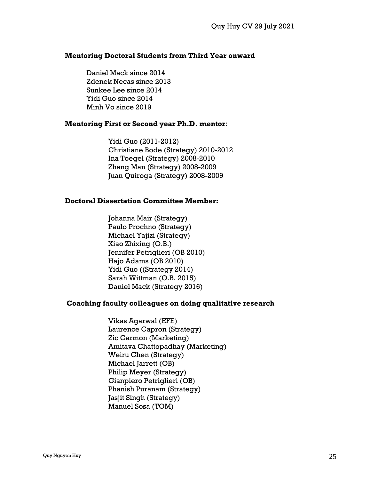#### **Mentoring Doctoral Students from Third Year onward**

Daniel Mack since 2014 Zdenek Necas since 2013 Sunkee Lee since 2014 Yidi Guo since 2014 Minh Vo since 2019

#### **Mentoring First or Second year Ph.D. mentor**:

Yidi Guo (2011-2012) Christiane Bode (Strategy) 2010-2012 Ina Toegel (Strategy) 2008-2010 Zhang Man (Strategy) 2008-2009 Juan Quiroga (Strategy) 2008-2009

#### **Doctoral Dissertation Committee Member:**

Johanna Mair (Strategy) Paulo Prochno (Strategy) Michael Yajizi (Strategy) Xiao Zhixing (O.B.) Jennifer Petriglieri (OB 2010) Hajo Adams (OB 2010) Yidi Guo ((Strategy 2014) Sarah Wittman (O.B. 2015) Daniel Mack (Strategy 2016)

## **Coaching faculty colleagues on doing qualitative research**

Vikas Agarwal (EFE) Laurence Capron (Strategy) Zic Carmon (Marketing) Amitava Chattopadhay (Marketing) Weiru Chen (Strategy) Michael Jarrett (OB) Philip Meyer (Strategy) Gianpiero Petriglieri (OB) Phanish Puranam (Strategy) Jasjit Singh (Strategy) Manuel Sosa (TOM)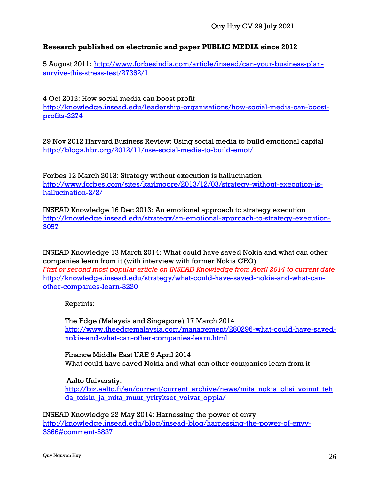# **Research published on electronic and paper PUBLIC MEDIA since 2012**

5 August 2011**:** [http://www.forbesindia.com/article/insead/can-your-business-plan](http://www.forbesindia.com/article/insead/can-your-business-plan-survive-this-stress-test/27362/1)[survive-this-stress-test/27362/1](http://www.forbesindia.com/article/insead/can-your-business-plan-survive-this-stress-test/27362/1)

4 Oct 2012: How social media can boost profit [http://knowledge.insead.edu/leadership-organisations/how-social-media-can-boost](http://knowledge.insead.edu/leadership-organisations/how-social-media-can-boost-profits-2274)[profits-2274](http://knowledge.insead.edu/leadership-organisations/how-social-media-can-boost-profits-2274)

29 Nov 2012 Harvard Business Review: Using social media to build emotional capital <http://blogs.hbr.org/2012/11/use-social-media-to-build-emot/>

Forbes 12 March 2013: Strategy without execution is hallucination [http://www.forbes.com/sites/karlmoore/2013/12/03/strategy-without-execution-is](http://www.forbes.com/sites/karlmoore/2013/12/03/strategy-without-execution-is-hallucination-2/2/)[hallucination-2/2/](http://www.forbes.com/sites/karlmoore/2013/12/03/strategy-without-execution-is-hallucination-2/2/)

INSEAD Knowledge 16 Dec 2013: An emotional approach to strategy execution [http://knowledge.insead.edu/strategy/an-emotional-approach-to-strategy-execution-](http://knowledge.insead.edu/strategy/an-emotional-approach-to-strategy-execution-3057)[3057](http://knowledge.insead.edu/strategy/an-emotional-approach-to-strategy-execution-3057)

INSEAD Knowledge 13 March 2014: What could have saved Nokia and what can other companies learn from it (with interview with former Nokia CEO) *First or second most popular article on INSEAD Knowledge from April 2014 to current date* [http://knowledge.insead.edu/strategy/what-could-have-saved-nokia-and-what-can](http://knowledge.insead.edu/strategy/what-could-have-saved-nokia-and-what-can-other-companies-learn-3220)[other-companies-learn-3220](http://knowledge.insead.edu/strategy/what-could-have-saved-nokia-and-what-can-other-companies-learn-3220)

# Reprints:

The Edge (Malaysia and Singapore) 17 March 2014 [http://www.theedgemalaysia.com/management/280296-what-could-have-saved](http://www.theedgemalaysia.com/management/280296-what-could-have-saved-nokia-and-what-can-other-companies-learn.html)[nokia-and-what-can-other-companies-learn.html](http://www.theedgemalaysia.com/management/280296-what-could-have-saved-nokia-and-what-can-other-companies-learn.html)

Finance Middle East UAE 9 April 2014 What could have saved Nokia and what can other companies learn from it

Aalto Universtiy: [http://biz.aalto.fi/en/current/current\\_archive/news/mita\\_nokia\\_olisi\\_voinut\\_teh](http://biz.aalto.fi/en/current/current_archive/news/mita_nokia_olisi_voinut_tehda_toisin_ja_mita_muut_yritykset_voivat_oppia/) da toisin ja mita muut yritykset voivat oppia/

INSEAD Knowledge 22 May 2014: Harnessing the power of envy [http://knowledge.insead.edu/blog/insead-blog/harnessing-the-power-of-envy-](http://knowledge.insead.edu/blog/insead-blog/harnessing-the-power-of-envy-3366#comment-5837)[3366#comment-5837](http://knowledge.insead.edu/blog/insead-blog/harnessing-the-power-of-envy-3366#comment-5837)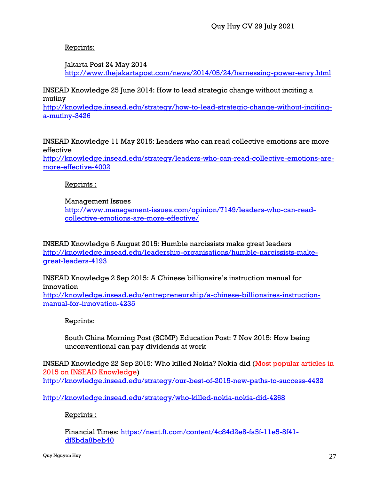# Reprints:

Jakarta Post 24 May 2014 <http://www.thejakartapost.com/news/2014/05/24/harnessing-power-envy.html>

INSEAD Knowledge 25 June 2014: How to lead strategic change without inciting a mutiny

[http://knowledge.insead.edu/strategy/how-to-lead-strategic-change-without-inciting](http://knowledge.insead.edu/strategy/how-to-lead-strategic-change-without-inciting-a-mutiny-3426)[a-mutiny-3426](http://knowledge.insead.edu/strategy/how-to-lead-strategic-change-without-inciting-a-mutiny-3426)

INSEAD Knowledge 11 May 2015: Leaders who can read collective emotions are more effective [http://knowledge.insead.edu/strategy/leaders-who-can-read-collective-emotions-are](http://knowledge.insead.edu/strategy/leaders-who-can-read-collective-emotions-are-more-effective-4002)[more-effective-4002](http://knowledge.insead.edu/strategy/leaders-who-can-read-collective-emotions-are-more-effective-4002)

Reprints :

# Management Issues

[http://www.management-issues.com/opinion/7149/leaders-who-can-read](http://www.management-issues.com/opinion/7149/leaders-who-can-read-collective-emotions-are-more-effective/)[collective-emotions-are-more-effective/](http://www.management-issues.com/opinion/7149/leaders-who-can-read-collective-emotions-are-more-effective/)

INSEAD Knowledge 5 August 2015: Humble narcissists make great leaders [http://knowledge.insead.edu/leadership-organisations/humble-narcissists-make](http://knowledge.insead.edu/leadership-organisations/humble-narcissists-make-great-leaders-4193)[great-leaders-4193](http://knowledge.insead.edu/leadership-organisations/humble-narcissists-make-great-leaders-4193)

INSEAD Knowledge 2 Sep 2015: A Chinese billionaire's instruction manual for innovation

[http://knowledge.insead.edu/entrepreneurship/a-chinese-billionaires-instruction](http://knowledge.insead.edu/entrepreneurship/a-chinese-billionaires-instruction-manual-for-innovation-4235)[manual-for-innovation-4235](http://knowledge.insead.edu/entrepreneurship/a-chinese-billionaires-instruction-manual-for-innovation-4235)

# Reprints:

South China Morning Post (SCMP) Education Post: 7 Nov 2015: How being unconventional can pay dividends at work

INSEAD Knowledge 22 Sep 2015: Who killed Nokia? Nokia did (Most popular articles in 2015 on INSEAD Knowledge) <http://knowledge.insead.edu/strategy/our-best-of-2015-new-paths-to-success-4432>

<http://knowledge.insead.edu/strategy/who-killed-nokia-nokia-did-4268>

# Reprints :

Financial Times: [https://next.ft.com/content/4c84d2e8-fa5f-11e5-8f41](https://next.ft.com/content/4c84d2e8-fa5f-11e5-8f41-df5bda8beb40) [df5bda8beb40](https://next.ft.com/content/4c84d2e8-fa5f-11e5-8f41-df5bda8beb40)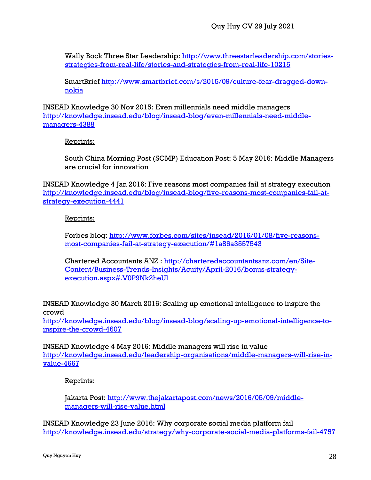Wally Bock Three Star Leadership: [http://www.threestarleadership.com/stories](http://www.threestarleadership.com/stories-strategies-from-real-life/stories-and-strategies-from-real-life-10215)[strategies-from-real-life/stories-and-strategies-from-real-life-10215](http://www.threestarleadership.com/stories-strategies-from-real-life/stories-and-strategies-from-real-life-10215)

SmartBrief [http://www.smartbrief.com/s/2015/09/culture-fear-dragged-down](http://www.smartbrief.com/s/2015/09/culture-fear-dragged-down-nokia)[nokia](http://www.smartbrief.com/s/2015/09/culture-fear-dragged-down-nokia)

INSEAD Knowledge 30 Nov 2015: Even millennials need middle managers [http://knowledge.insead.edu/blog/insead-blog/even-millennials-need-middle](http://knowledge.insead.edu/blog/insead-blog/even-millennials-need-middle-managers-4388)[managers-4388](http://knowledge.insead.edu/blog/insead-blog/even-millennials-need-middle-managers-4388)

Reprints:

South China Morning Post (SCMP) Education Post: 5 May 2016: Middle Managers are crucial for innovation

INSEAD Knowledge 4 Jan 2016: Five reasons most companies fail at strategy execution [http://knowledge.insead.edu/blog/insead-blog/five-reasons-most-companies-fail-at](http://knowledge.insead.edu/blog/insead-blog/five-reasons-most-companies-fail-at-strategy-execution-4441)[strategy-execution-4441](http://knowledge.insead.edu/blog/insead-blog/five-reasons-most-companies-fail-at-strategy-execution-4441)

Reprints:

Forbes blog: [http://www.forbes.com/sites/insead/2016/01/08/five-reasons](http://www.forbes.com/sites/insead/2016/01/08/five-reasons-most-companies-fail-at-strategy-execution/#1a86a3557543)[most-companies-fail-at-strategy-execution/#1a86a3557543](http://www.forbes.com/sites/insead/2016/01/08/five-reasons-most-companies-fail-at-strategy-execution/#1a86a3557543)

Chartered Accountants ANZ : [http://charteredaccountantsanz.com/en/Site-](http://charteredaccountantsanz.com/en/Site-Content/Business-Trends-Insights/Acuity/April-2016/bonus-strategy-execution.aspx#.V0P9Nk2heUl)[Content/Business-Trends-Insights/Acuity/April-2016/bonus-strategy](http://charteredaccountantsanz.com/en/Site-Content/Business-Trends-Insights/Acuity/April-2016/bonus-strategy-execution.aspx#.V0P9Nk2heUl)[execution.aspx#.V0P9Nk2heUl](http://charteredaccountantsanz.com/en/Site-Content/Business-Trends-Insights/Acuity/April-2016/bonus-strategy-execution.aspx#.V0P9Nk2heUl)

INSEAD Knowledge 30 March 2016: Scaling up emotional intelligence to inspire the crowd

[http://knowledge.insead.edu/blog/insead-blog/scaling-up-emotional-intelligence-to](http://knowledge.insead.edu/blog/insead-blog/scaling-up-emotional-intelligence-to-inspire-the-crowd-4607)[inspire-the-crowd-4607](http://knowledge.insead.edu/blog/insead-blog/scaling-up-emotional-intelligence-to-inspire-the-crowd-4607)

INSEAD Knowledge 4 May 2016: Middle managers will rise in value [http://knowledge.insead.edu/leadership-organisations/middle-managers-will-rise-in](http://knowledge.insead.edu/leadership-organisations/middle-managers-will-rise-in-value-4667)[value-4667](http://knowledge.insead.edu/leadership-organisations/middle-managers-will-rise-in-value-4667)

Reprints:

Jakarta Post: [http://www.thejakartapost.com/news/2016/05/09/middle](http://www.thejakartapost.com/news/2016/05/09/middle-managers-will-rise-value.html)[managers-will-rise-value.html](http://www.thejakartapost.com/news/2016/05/09/middle-managers-will-rise-value.html)

INSEAD Knowledge 23 June 2016: Why corporate social media platform fail <http://knowledge.insead.edu/strategy/why-corporate-social-media-platforms-fail-4757>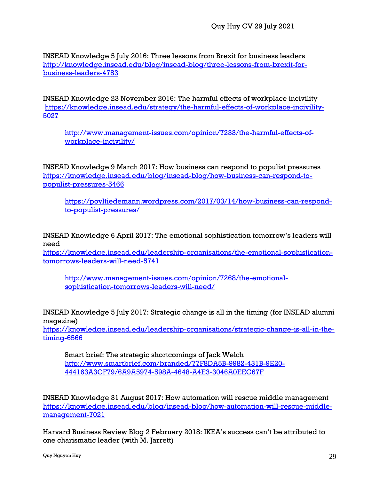INSEAD Knowledge 5 July 2016: Three lessons from Brexit for business leaders [http://knowledge.insead.edu/blog/insead-blog/three-lessons-from-brexit-for](http://knowledge.insead.edu/blog/insead-blog/three-lessons-from-brexit-for-business-leaders-4783)[business-leaders-4783](http://knowledge.insead.edu/blog/insead-blog/three-lessons-from-brexit-for-business-leaders-4783)

INSEAD Knowledge 23 November 2016: The harmful effects of workplace incivility [https://knowledge.insead.edu/strategy/the-harmful-effects-of-workplace-incivility-](https://knowledge.insead.edu/strategy/the-harmful-effects-of-workplace-incivility-5027)[5027](https://knowledge.insead.edu/strategy/the-harmful-effects-of-workplace-incivility-5027)

[http://www.management-issues.com/opinion/7233/the-harmful-effects-of](http://www.management-issues.com/opinion/7233/the-harmful-effects-of-workplace-incivility/)[workplace-incivility/](http://www.management-issues.com/opinion/7233/the-harmful-effects-of-workplace-incivility/)

INSEAD Knowledge 9 March 2017: How business can respond to populist pressures [https://knowledge.insead.edu/blog/insead-blog/how-business-can-respond-to](https://knowledge.insead.edu/blog/insead-blog/how-business-can-respond-to-populist-pressures-5466)[populist-pressures-5466](https://knowledge.insead.edu/blog/insead-blog/how-business-can-respond-to-populist-pressures-5466)

[https://povltiedemann.wordpress.com/2017/03/14/how-business-can-respond](https://povltiedemann.wordpress.com/2017/03/14/how-business-can-respond-to-populist-pressures/)[to-populist-pressures/](https://povltiedemann.wordpress.com/2017/03/14/how-business-can-respond-to-populist-pressures/)

INSEAD Knowledge 6 April 2017: The emotional sophistication tomorrow's leaders will need

[https://knowledge.insead.edu/leadership-organisations/the-emotional-sophistication](https://knowledge.insead.edu/leadership-organisations/the-emotional-sophistication-tomorrows-leaders-will-need-5741)[tomorrows-leaders-will-need-5741](https://knowledge.insead.edu/leadership-organisations/the-emotional-sophistication-tomorrows-leaders-will-need-5741)

[http://www.management-issues.com/opinion/7268/the-emotional](http://www.management-issues.com/opinion/7268/the-emotional-sophistication-tomorrows-leaders-will-need/)[sophistication-tomorrows-leaders-will-need/](http://www.management-issues.com/opinion/7268/the-emotional-sophistication-tomorrows-leaders-will-need/)

INSEAD Knowledge 5 July 2017: Strategic change is all in the timing (for INSEAD alumni magazine)

[https://knowledge.insead.edu/leadership-organisations/strategic-change-is-all-in-the](https://knowledge.insead.edu/leadership-organisations/strategic-change-is-all-in-the-timing-6566)[timing-6566](https://knowledge.insead.edu/leadership-organisations/strategic-change-is-all-in-the-timing-6566)

Smart brief: The strategic shortcomings of Jack Welch [http://www.smartbrief.com/branded/77F8DA5B-9982-431B-9E20-](http://www.smartbrief.com/branded/77F8DA5B-9982-431B-9E20-444163A3CF79/6A9A5974-598A-4648-A4E3-3046A0EEC67F) [444163A3CF79/6A9A5974-598A-4648-A4E3-3046A0EEC67F](http://www.smartbrief.com/branded/77F8DA5B-9982-431B-9E20-444163A3CF79/6A9A5974-598A-4648-A4E3-3046A0EEC67F)

INSEAD Knowledge 31 August 2017: How automation will rescue middle management [https://knowledge.insead.edu/blog/insead-blog/how-automation-will-rescue-middle](https://knowledge.insead.edu/blog/insead-blog/how-automation-will-rescue-middle-management-7021)[management-7021](https://knowledge.insead.edu/blog/insead-blog/how-automation-will-rescue-middle-management-7021)

Harvard Business Review Blog 2 February 2018: IKEA's success can't be attributed to one charismatic leader (with M. Jarrett)